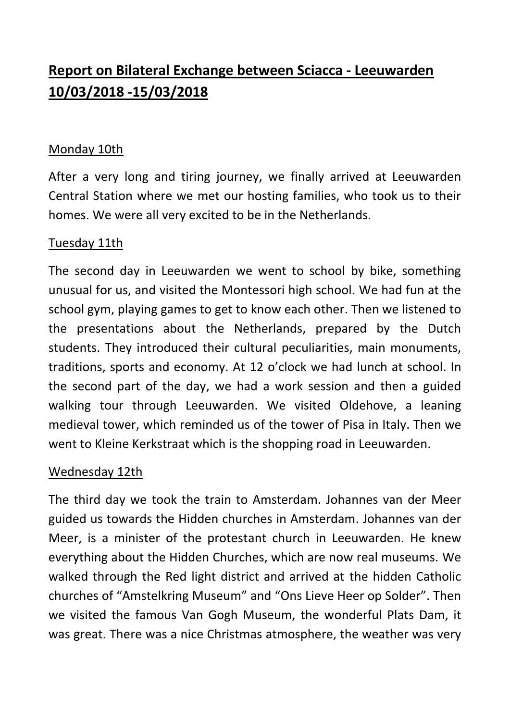# **Report on Bilateral Exchange between Sciacca - Leeuwarden 10/03/2018 -15/03/2018**

### Monday 10th

After a very long and tiring journey, we finally arrived at Leeuwarden Central Station where we met our hosting families, who took us to their homes. We were all very excited to be in the Netherlands.

#### Tuesday 11th

The second day in Leeuwarden we went to school by bike, something unusual for us, and visited the Montessori high school. We had fun at the school gym, playing games to get to know each other. Then we listened to the presentations about the Netherlands, prepared by the Dutch students. They introduced their cultural peculiarities, main monuments, traditions, sports and economy. At 12 o'clock we had lunch at school. In the second part of the day, we had a work session and then a guided walking tour through Leeuwarden. We visited Oldehove, a leaning medieval tower, which reminded us of the tower of Pisa in Italy. Then we went to Kleine Kerkstraat which is the shopping road in Leeuwarden.

#### Wednesday 12th

The third day we took the train to Amsterdam. Johannes van der Meer guided us towards the Hidden churches in Amsterdam. Johannes van der Meer, is a minister of the protestant church in Leeuwarden. He knew everything about the Hidden Churches, which are now real museums. We walked through the Red light district and arrived at the hidden Catholic churches of "Amstelkring Museum" and "Ons Lieve Heer op Solder". Then we visited the famous Van Gogh Museum, the wonderful Plats Dam, it was great. There was a nice Christmas atmosphere, the weather was very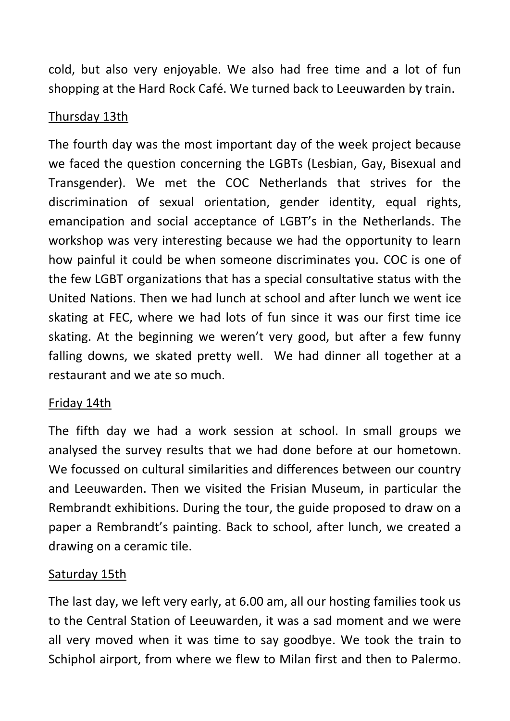cold, but also very enjoyable. We also had free time and a lot of fun shopping at the Hard Rock Café. We turned back to Leeuwarden by train.

## Thursday 13th

The fourth day was the most important day of the week project because we faced the question concerning the LGBTs (Lesbian, Gay, Bisexual and Transgender). We met the COC Netherlands that strives for the discrimination of sexual orientation, gender identity, equal rights, emancipation and social acceptance of LGBT's in the Netherlands. The workshop was very interesting because we had the opportunity to learn how painful it could be when someone discriminates you. COC is one of the few LGBT organizations that has a special consultative status with the United Nations. Then we had lunch at school and after lunch we went ice skating at FEC, where we had lots of fun since it was our first time ice skating. At the beginning we weren't very good, but after a few funny falling downs, we skated pretty well. We had dinner all together at a restaurant and we ate so much.

## Friday 14th

The fifth day we had a work session at school. In small groups we analysed the survey results that we had done before at our hometown. We focussed on cultural similarities and differences between our country and Leeuwarden. Then we visited the Frisian Museum, in particular the Rembrandt exhibitions. During the tour, the guide proposed to draw on a paper a Rembrandt's painting. Back to school, after lunch, we created a drawing on a ceramic tile.

## Saturday 15th

The last day, we left very early, at 6.00 am, all our hosting families took us to the Central Station of Leeuwarden, it was a sad moment and we were all very moved when it was time to say goodbye. We took the train to Schiphol airport, from where we flew to Milan first and then to Palermo.